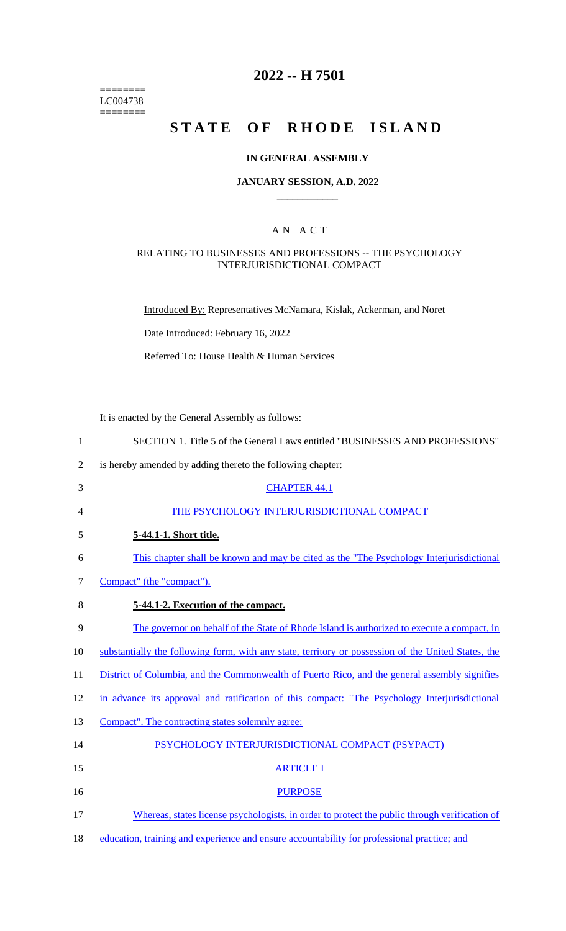======== LC004738  $=$ 

## **2022 -- H 7501**

# **STATE OF RHODE ISLAND**

## **IN GENERAL ASSEMBLY**

### **JANUARY SESSION, A.D. 2022 \_\_\_\_\_\_\_\_\_\_\_\_**

## A N A C T

## RELATING TO BUSINESSES AND PROFESSIONS -- THE PSYCHOLOGY INTERJURISDICTIONAL COMPACT

Introduced By: Representatives McNamara, Kislak, Ackerman, and Noret

Date Introduced: February 16, 2022

Referred To: House Health & Human Services

It is enacted by the General Assembly as follows:

| $\mathbf{1}$   | SECTION 1. Title 5 of the General Laws entitled "BUSINESSES AND PROFESSIONS"                        |
|----------------|-----------------------------------------------------------------------------------------------------|
| $\overline{2}$ | is hereby amended by adding thereto the following chapter:                                          |
| 3              | <b>CHAPTER 44.1</b>                                                                                 |
| 4              | THE PSYCHOLOGY INTERJURISDICTIONAL COMPACT                                                          |
| 5              | 5-44.1-1. Short title.                                                                              |
| 6              | This chapter shall be known and may be cited as the "The Psychology Interjurisdictional"            |
| 7              | Compact" (the "compact").                                                                           |
| 8              | 5-44.1-2. Execution of the compact.                                                                 |
| 9              | The governor on behalf of the State of Rhode Island is authorized to execute a compact, in          |
| 10             | substantially the following form, with any state, territory or possession of the United States, the |
| 11             | District of Columbia, and the Commonwealth of Puerto Rico, and the general assembly signifies       |
| 12             | in advance its approval and ratification of this compact: "The Psychology Interjurisdictional       |
| 13             | Compact". The contracting states solemnly agree:                                                    |
| 14             | PSYCHOLOGY INTERJURISDICTIONAL COMPACT (PSYPACT)                                                    |
| 15             | <b>ARTICLE I</b>                                                                                    |
| 16             | <b>PURPOSE</b>                                                                                      |
| 17             | Whereas, states license psychologists, in order to protect the public through verification of       |
| 18             | education, training and experience and ensure accountability for professional practice; and         |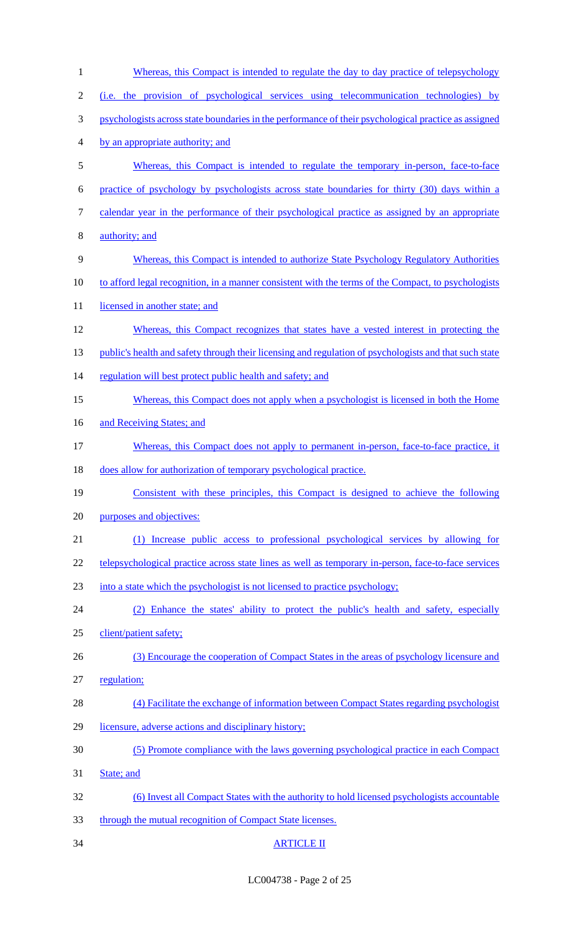| $\mathbf{1}$   | <u>Whereas, this Compact is intended to regulate the day to day practice of telepsychology</u>         |
|----------------|--------------------------------------------------------------------------------------------------------|
| $\overline{2}$ | (i.e. the provision of psychological services using telecommunication technologies) by                 |
| 3              | psychologists across state boundaries in the performance of their psychological practice as assigned   |
| 4              | by an appropriate authority; and                                                                       |
| 5              | Whereas, this Compact is intended to regulate the temporary in-person, face-to-face                    |
| 6              | practice of psychology by psychologists across state boundaries for thirty (30) days within a          |
| 7              | calendar year in the performance of their psychological practice as assigned by an appropriate         |
| 8              | authority; and                                                                                         |
| 9              | Whereas, this Compact is intended to authorize State Psychology Regulatory Authorities                 |
| 10             | to afford legal recognition, in a manner consistent with the terms of the Compact, to psychologists    |
| 11             | licensed in another state; and                                                                         |
| 12             | Whereas, this Compact recognizes that states have a vested interest in protecting the                  |
| 13             | public's health and safety through their licensing and regulation of psychologists and that such state |
| 14             | regulation will best protect public health and safety; and                                             |
| 15             | Whereas, this Compact does not apply when a psychologist is licensed in both the Home                  |
| 16             | and Receiving States; and                                                                              |
| 17             | Whereas, this Compact does not apply to permanent in-person, face-to-face practice, it                 |
| 18             | does allow for authorization of temporary psychological practice.                                      |
| 19             | Consistent with these principles, this Compact is designed to achieve the following                    |
| 20             | purposes and objectives:                                                                               |
| 21             | (1) Increase public access to professional psychological services by allowing for                      |
| 22             | telepsychological practice across state lines as well as temporary in-person, face-to-face services    |
| 23             | into a state which the psychologist is not licensed to practice psychology;                            |
| 24             | (2) Enhance the states' ability to protect the public's health and safety, especially                  |
| 25             | client/patient safety;                                                                                 |
| 26             | (3) Encourage the cooperation of Compact States in the areas of psychology licensure and               |
| 27             | regulation;                                                                                            |
| 28             | (4) Facilitate the exchange of information between Compact States regarding psychologist               |
| 29             | licensure, adverse actions and disciplinary history;                                                   |
| 30             | (5) Promote compliance with the laws governing psychological practice in each Compact                  |
| 31             | State; and                                                                                             |
| 32             | (6) Invest all Compact States with the authority to hold licensed psychologists accountable            |
| 33             | through the mutual recognition of Compact State licenses.                                              |
| 34             | <b>ARTICLE II</b>                                                                                      |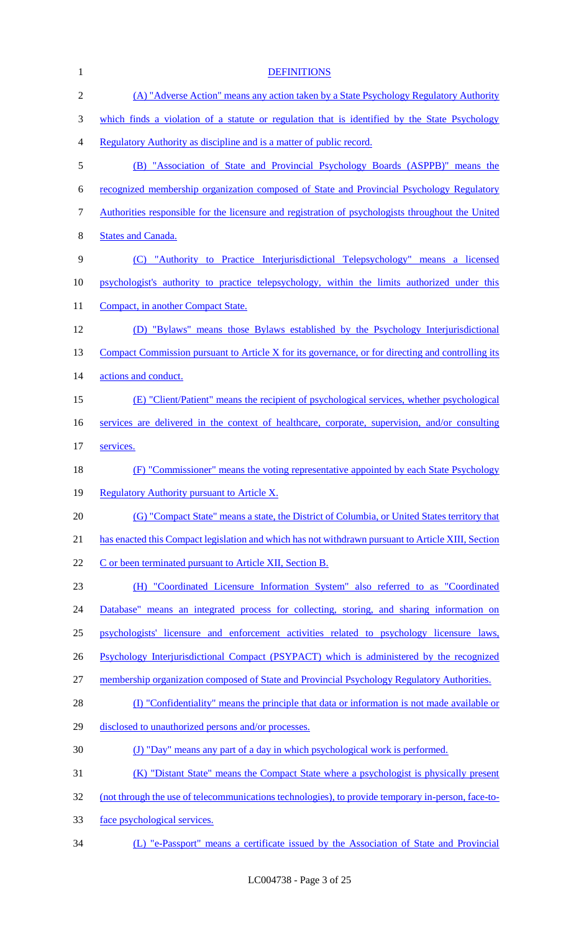| $\mathbf{1}$   | <b>DEFINITIONS</b>                                                                                 |
|----------------|----------------------------------------------------------------------------------------------------|
| $\overline{2}$ | (A) "Adverse Action" means any action taken by a State Psychology Regulatory Authority             |
| 3              | which finds a violation of a statute or regulation that is identified by the State Psychology      |
| 4              | Regulatory Authority as discipline and is a matter of public record.                               |
| 5              | (B) "Association of State and Provincial Psychology Boards (ASPPB)" means the                      |
| 6              | recognized membership organization composed of State and Provincial Psychology Regulatory          |
| 7              | Authorities responsible for the licensure and registration of psychologists throughout the United  |
| 8              | <b>States and Canada.</b>                                                                          |
| 9              | (C) "Authority to Practice Interjurisdictional Telepsychology" means a licensed                    |
| 10             | psychologist's authority to practice telepsychology, within the limits authorized under this       |
| 11             | Compact, in another Compact State.                                                                 |
| 12             | (D) "Bylaws" means those Bylaws established by the Psychology Interjurisdictional                  |
| 13             | Compact Commission pursuant to Article X for its governance, or for directing and controlling its  |
| 14             | actions and conduct.                                                                               |
| 15             | (E) "Client/Patient" means the recipient of psychological services, whether psychological          |
| 16             | services are delivered in the context of healthcare, corporate, supervision, and/or consulting     |
| 17             | services.                                                                                          |
| 18             | (F) "Commissioner" means the voting representative appointed by each State Psychology              |
| 19             | Regulatory Authority pursuant to Article X.                                                        |
| 20             | (G) "Compact State" means a state, the District of Columbia, or United States territory that       |
| 21             | has enacted this Compact legislation and which has not withdrawn pursuant to Article XIII, Section |
| 22             | C or been terminated pursuant to Article XII, Section B.                                           |
| 23             | (H) "Coordinated Licensure Information System" also referred to as "Coordinated                    |
| 24             | Database" means an integrated process for collecting, storing, and sharing information on          |
| 25             | psychologists' licensure and enforcement activities related to psychology licensure laws,          |
| 26             | Psychology Interjurisdictional Compact (PSYPACT) which is administered by the recognized           |
| 27             | membership organization composed of State and Provincial Psychology Regulatory Authorities.        |
| 28             | (I) "Confidentiality" means the principle that data or information is not made available or        |
| 29             | disclosed to unauthorized persons and/or processes.                                                |
| 30             | (J) "Day" means any part of a day in which psychological work is performed.                        |
| 31             | (K) "Distant State" means the Compact State where a psychologist is physically present             |
| 32             | (not through the use of telecommunications technologies), to provide temporary in-person, face-to- |
| 33             | face psychological services.                                                                       |
| 34             | (L) "e-Passport" means a certificate issued by the Association of State and Provincial             |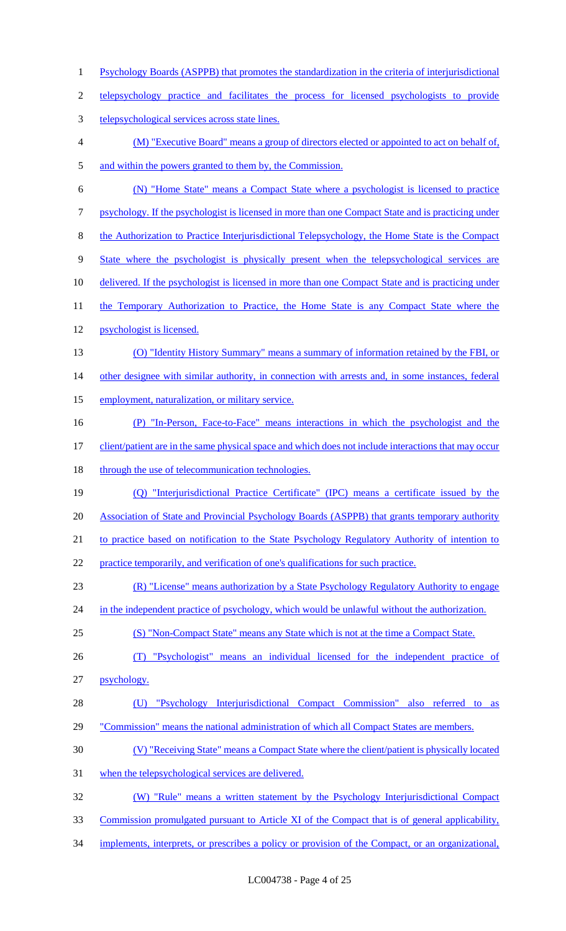- Psychology Boards (ASPPB) that promotes the standardization in the criteria of interjurisdictional telepsychology practice and facilitates the process for licensed psychologists to provide telepsychological services across state lines. (M) "Executive Board" means a group of directors elected or appointed to act on behalf of, 5 and within the powers granted to them by, the Commission. (N) "Home State" means a Compact State where a psychologist is licensed to practice psychology. If the psychologist is licensed in more than one Compact State and is practicing under the Authorization to Practice Interjurisdictional Telepsychology, the Home State is the Compact State where the psychologist is physically present when the telepsychological services are 10 delivered. If the psychologist is licensed in more than one Compact State and is practicing under 11 the Temporary Authorization to Practice, the Home State is any Compact State where the psychologist is licensed. 13 (O) "Identity History Summary" means a summary of information retained by the FBI, or 14 other designee with similar authority, in connection with arrests and, in some instances, federal employment, naturalization, or military service. (P) "In-Person, Face-to-Face" means interactions in which the psychologist and the 17 client/patient are in the same physical space and which does not include interactions that may occur 18 through the use of telecommunication technologies. (Q) "Interjurisdictional Practice Certificate" (IPC) means a certificate issued by the Association of State and Provincial Psychology Boards (ASPPB) that grants temporary authority 21 to practice based on notification to the State Psychology Regulatory Authority of intention to practice temporarily, and verification of one's qualifications for such practice. (R) "License" means authorization by a State Psychology Regulatory Authority to engage 24 in the independent practice of psychology, which would be unlawful without the authorization. (S) "Non-Compact State" means any State which is not at the time a Compact State. (T) "Psychologist" means an individual licensed for the independent practice of psychology. (U) "Psychology Interjurisdictional Compact Commission" also referred to as 29 "Commission" means the national administration of which all Compact States are members. (V) "Receiving State" means a Compact State where the client/patient is physically located when the telepsychological services are delivered. (W) "Rule" means a written statement by the Psychology Interjurisdictional Compact Commission promulgated pursuant to Article XI of the Compact that is of general applicability,
- 34 implements, interprets, or prescribes a policy or provision of the Compact, or an organizational,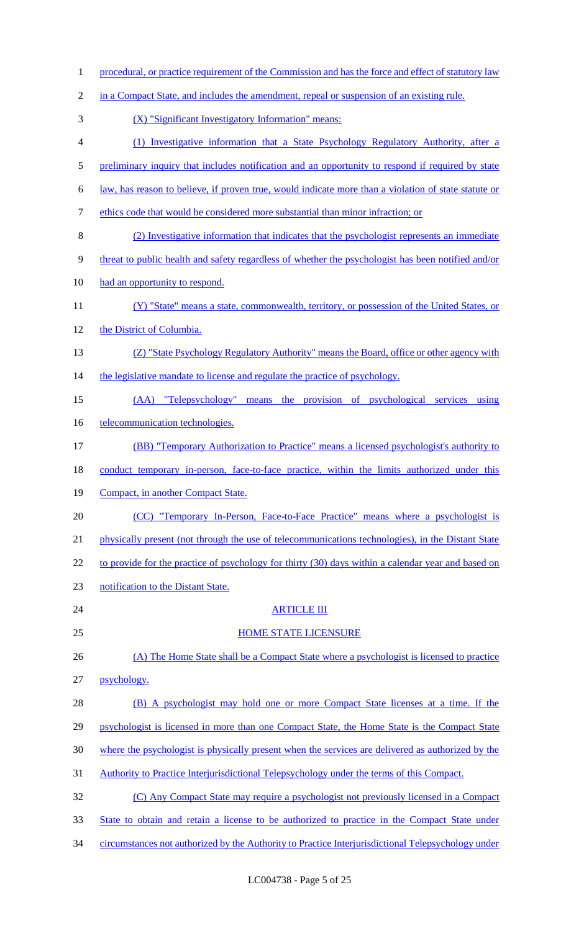| $\mathbf{1}$   | procedural, or practice requirement of the Commission and has the force and effect of statutory law         |
|----------------|-------------------------------------------------------------------------------------------------------------|
| $\overline{2}$ | in a Compact State, and includes the amendment, repeal or suspension of an existing rule.                   |
| 3              | (X) "Significant Investigatory Information" means:                                                          |
| 4              | (1) Investigative information that a State Psychology Regulatory Authority, after a                         |
| 5              | preliminary inquiry that includes notification and an opportunity to respond if required by state           |
| 6              | <u>law, has reason to believe, if proven true, would indicate more than a violation of state statute or</u> |
| 7              | ethics code that would be considered more substantial than minor infraction; or                             |
| 8              | (2) Investigative information that indicates that the psychologist represents an immediate                  |
| 9              | threat to public health and safety regardless of whether the psychologist has been notified and/or          |
| 10             | had an opportunity to respond.                                                                              |
| 11             | (Y) "State" means a state, commonwealth, territory, or possession of the United States, or                  |
| 12             | the District of Columbia.                                                                                   |
| 13             | (Z) "State Psychology Regulatory Authority" means the Board, office or other agency with                    |
| 14             | the legislative mandate to license and regulate the practice of psychology.                                 |
| 15             | (AA) "Telepsychology" means the provision of psychological services using                                   |
| 16             | telecommunication technologies.                                                                             |
| 17             | (BB) "Temporary Authorization to Practice" means a licensed psychologist's authority to                     |
| 18             | conduct temporary in-person, face-to-face practice, within the limits authorized under this                 |
| 19             | Compact, in another Compact State.                                                                          |
| 20             | (CC) "Temporary In-Person, Face-to-Face Practice" means where a psychologist is                             |
| 21             | physically present (not through the use of telecommunications technologies), in the Distant State           |
| 22             | to provide for the practice of psychology for thirty (30) days within a calendar year and based on          |
| 23             | notification to the Distant State.                                                                          |
| 24             | <b>ARTICLE III</b>                                                                                          |
| 25             | <b>HOME STATE LICENSURE</b>                                                                                 |
| 26             | (A) The Home State shall be a Compact State where a psychologist is licensed to practice                    |
| 27             | psychology.                                                                                                 |
| 28             | (B) A psychologist may hold one or more Compact State licenses at a time. If the                            |
| 29             | psychologist is licensed in more than one Compact State, the Home State is the Compact State                |
| 30             | where the psychologist is physically present when the services are delivered as authorized by the           |
| 31             | Authority to Practice Interjurisdictional Telepsychology under the terms of this Compact.                   |
| 32             | (C) Any Compact State may require a psychologist not previously licensed in a Compact                       |
| 33             | State to obtain and retain a license to be authorized to practice in the Compact State under                |
| 34             | circumstances not authorized by the Authority to Practice Interjurisdictional Telepsychology under          |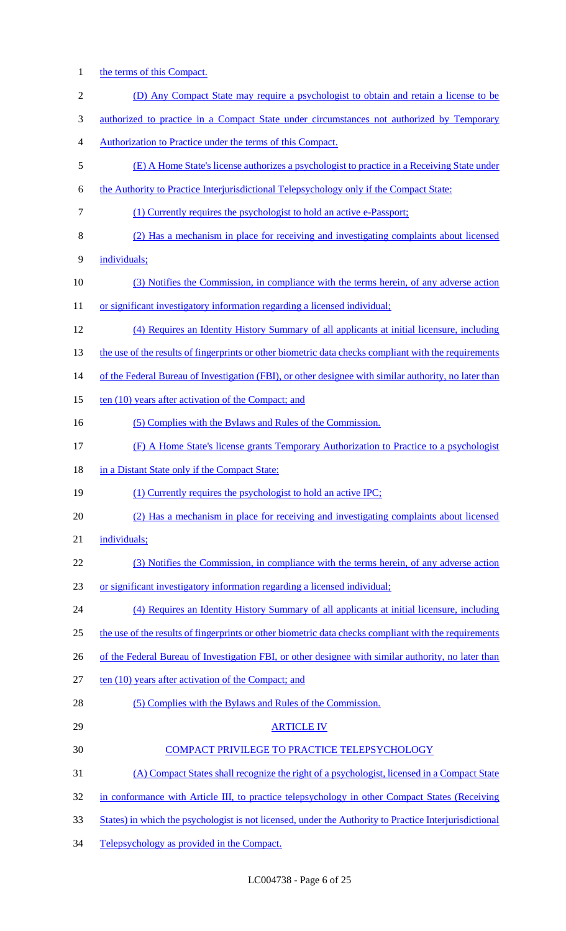1 the terms of this Compact.

| $\overline{c}$ | (D) Any Compact State may require a psychologist to obtain and retain a license to be                  |
|----------------|--------------------------------------------------------------------------------------------------------|
| 3              | <u>authorized to practice in a Compact State under circumstances not authorized by Temporary</u>       |
| $\overline{4}$ | Authorization to Practice under the terms of this Compact.                                             |
| 5              | (E) A Home State's license authorizes a psychologist to practice in a Receiving State under            |
| 6              | the Authority to Practice Interjurisdictional Telepsychology only if the Compact State:                |
| 7              | (1) Currently requires the psychologist to hold an active e-Passport;                                  |
| 8              | (2) Has a mechanism in place for receiving and investigating complaints about licensed                 |
| 9              | individuals;                                                                                           |
| 10             | (3) Notifies the Commission, in compliance with the terms herein, of any adverse action                |
| 11             | or significant investigatory information regarding a licensed individual;                              |
| 12             | (4) Requires an Identity History Summary of all applicants at initial licensure, including             |
| 13             | the use of the results of fingerprints or other biometric data checks compliant with the requirements  |
| 14             | of the Federal Bureau of Investigation (FBI), or other designee with similar authority, no later than  |
| 15             | ten (10) years after activation of the Compact; and                                                    |
| 16             | (5) Complies with the Bylaws and Rules of the Commission.                                              |
| 17             | (F) A Home State's license grants Temporary Authorization to Practice to a psychologist                |
| 18             | in a Distant State only if the Compact State:                                                          |
| 19             | (1) Currently requires the psychologist to hold an active IPC;                                         |
| 20             | (2) Has a mechanism in place for receiving and investigating complaints about licensed                 |
| 21             | individuals;                                                                                           |
| 22             | (3) Notifies the Commission, in compliance with the terms herein, of any adverse action                |
| 23             | or significant investigatory information regarding a licensed individual;                              |
| 24             | (4) Requires an Identity History Summary of all applicants at initial licensure, including             |
| 25             | the use of the results of fingerprints or other biometric data checks compliant with the requirements  |
| 26             | of the Federal Bureau of Investigation FBI, or other designee with similar authority, no later than    |
| 27             | ten (10) years after activation of the Compact; and                                                    |
| 28             | (5) Complies with the Bylaws and Rules of the Commission.                                              |
| 29             | <b>ARTICLE IV</b>                                                                                      |
| 30             | COMPACT PRIVILEGE TO PRACTICE TELEPSYCHOLOGY                                                           |
| 31             | (A) Compact States shall recognize the right of a psychologist, licensed in a Compact State            |
| 32             | in conformance with Article III, to practice telepsychology in other Compact States (Receiving         |
| 33             | States) in which the psychologist is not licensed, under the Authority to Practice Interjurisdictional |
|                |                                                                                                        |

34 Telepsychology as provided in the Compact.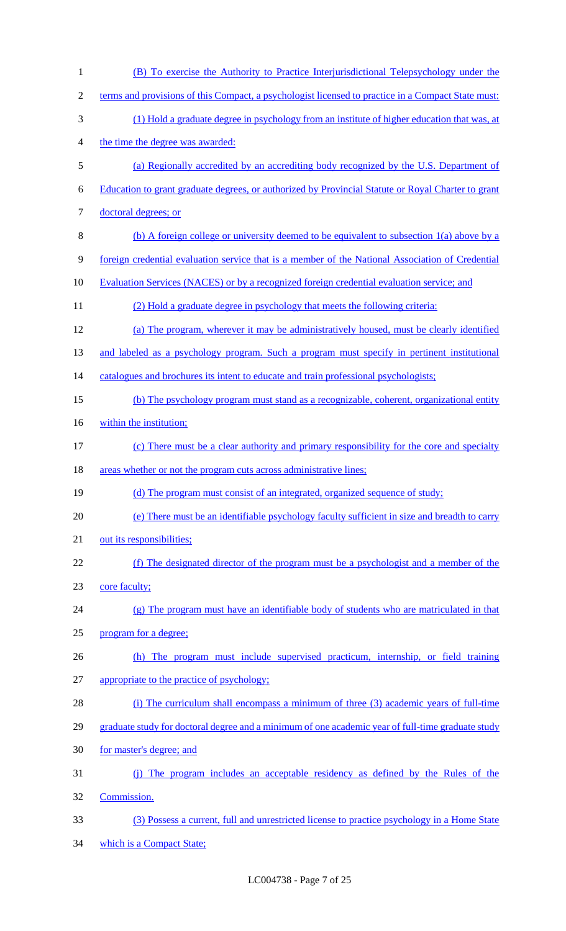| $\mathbf{1}$   | (B) To exercise the Authority to Practice Interjurisdictional Telepsychology under the             |
|----------------|----------------------------------------------------------------------------------------------------|
| $\overline{c}$ | terms and provisions of this Compact, a psychologist licensed to practice in a Compact State must: |
| 3              | (1) Hold a graduate degree in psychology from an institute of higher education that was, at        |
| 4              | the time the degree was awarded:                                                                   |
| 5              | (a) Regionally accredited by an accrediting body recognized by the U.S. Department of              |
| 6              | Education to grant graduate degrees, or authorized by Provincial Statute or Royal Charter to grant |
| 7              | doctoral degrees; or                                                                               |
| 8              | (b) A foreign college or university deemed to be equivalent to subsection $1(a)$ above by a        |
| 9              | foreign credential evaluation service that is a member of the National Association of Credential   |
| 10             | Evaluation Services (NACES) or by a recognized foreign credential evaluation service; and          |
| 11             | (2) Hold a graduate degree in psychology that meets the following criteria:                        |
| 12             | (a) The program, wherever it may be administratively housed, must be clearly identified            |
| 13             | and labeled as a psychology program. Such a program must specify in pertinent institutional        |
| 14             | catalogues and brochures its intent to educate and train professional psychologists;               |
| 15             | (b) The psychology program must stand as a recognizable, coherent, organizational entity           |
| 16             | within the institution;                                                                            |
| 17             | (c) There must be a clear authority and primary responsibility for the core and specialty          |
| 18             | areas whether or not the program cuts across administrative lines;                                 |
| 19             | (d) The program must consist of an integrated, organized sequence of study;                        |
| 20             | (e) There must be an identifiable psychology faculty sufficient in size and breadth to carry       |
| 21             | out its responsibilities;                                                                          |
| 22             | (f) The designated director of the program must be a psychologist and a member of the              |
| 23             | core faculty;                                                                                      |
| 24             | (g) The program must have an identifiable body of students who are matriculated in that            |
| 25             | program for a degree;                                                                              |
| 26             | The program must include supervised practicum, internship, or field training<br>(h)                |
| 27             | appropriate to the practice of psychology;                                                         |
| 28             | (i) The curriculum shall encompass a minimum of three (3) academic years of full-time              |
| 29             | graduate study for doctoral degree and a minimum of one academic year of full-time graduate study  |
| 30             | for master's degree; and                                                                           |
| 31             | (i) The program includes an acceptable residency as defined by the Rules of the                    |
| 32             | Commission.                                                                                        |
| 33             | (3) Possess a current, full and unrestricted license to practice psychology in a Home State        |
| 34             | which is a Compact State;                                                                          |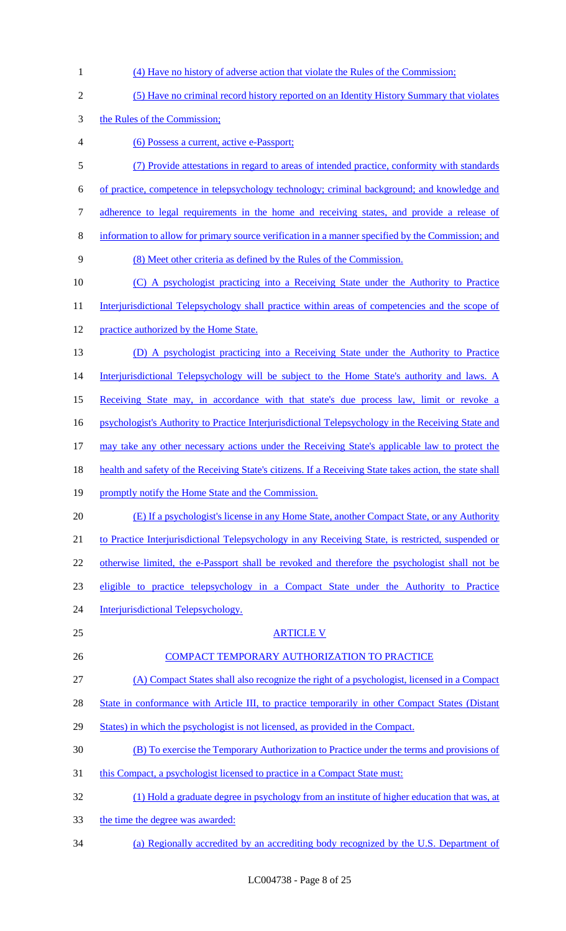| 1                | (4) Have no history of adverse action that violate the Rules of the Commission;                         |
|------------------|---------------------------------------------------------------------------------------------------------|
| $\overline{2}$   | (5) Have no criminal record history reported on an Identity History Summary that violates               |
| 3                | the Rules of the Commission;                                                                            |
| $\overline{4}$   | (6) Possess a current, active e-Passport;                                                               |
| 5                | (7) Provide attestations in regard to areas of intended practice, conformity with standards             |
| 6                | of practice, competence in telepsychology technology; criminal background; and knowledge and            |
| $\boldsymbol{7}$ | adherence to legal requirements in the home and receiving states, and provide a release of              |
| $\, 8$           | information to allow for primary source verification in a manner specified by the Commission; and       |
| 9                | (8) Meet other criteria as defined by the Rules of the Commission.                                      |
| 10               | (C) A psychologist practicing into a Receiving State under the Authority to Practice                    |
| 11               | Interjurisdictional Telepsychology shall practice within areas of competencies and the scope of         |
| 12               | practice authorized by the Home State.                                                                  |
| 13               | (D) A psychologist practicing into a Receiving State under the Authority to Practice                    |
| 14               | Interjurisdictional Telepsychology will be subject to the Home State's authority and laws. A            |
| 15               | Receiving State may, in accordance with that state's due process law, limit or revoke a                 |
| 16               | psychologist's Authority to Practice Interjurisdictional Telepsychology in the Receiving State and      |
| 17               | may take any other necessary actions under the Receiving State's applicable law to protect the          |
| 18               | health and safety of the Receiving State's citizens. If a Receiving State takes action, the state shall |
| 19               | promptly notify the Home State and the Commission.                                                      |
| 20               | (E) If a psychologist's license in any Home State, another Compact State, or any Authority              |
| 21               | to Practice Interjurisdictional Telepsychology in any Receiving State, is restricted, suspended or      |
| 22               | otherwise limited, the e-Passport shall be revoked and therefore the psychologist shall not be          |
| 23               | eligible to practice telepsychology in a Compact State under the Authority to Practice                  |
| 24               | Interjurisdictional Telepsychology.                                                                     |
| 25               | <b>ARTICLE V</b>                                                                                        |
| 26               | COMPACT TEMPORARY AUTHORIZATION TO PRACTICE                                                             |
| 27               | (A) Compact States shall also recognize the right of a psychologist, licensed in a Compact              |
| 28               | State in conformance with Article III, to practice temporarily in other Compact States (Distant         |
| 29               | States) in which the psychologist is not licensed, as provided in the Compact.                          |
| 30               | (B) To exercise the Temporary Authorization to Practice under the terms and provisions of               |
| 31               | this Compact, a psychologist licensed to practice in a Compact State must:                              |
| 32               | (1) Hold a graduate degree in psychology from an institute of higher education that was, at             |
| 33               | the time the degree was awarded:                                                                        |
| 34               | (a) Regionally accredited by an accrediting body recognized by the U.S. Department of                   |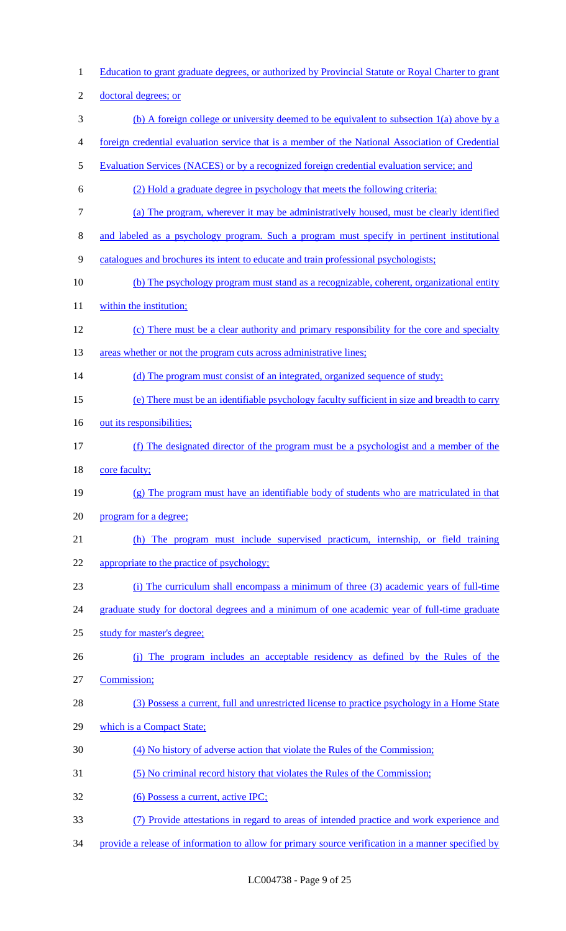Education to grant graduate degrees, or authorized by Provincial Statute or Royal Charter to grant doctoral degrees; or (b) A foreign college or university deemed to be equivalent to subsection 1(a) above by a foreign credential evaluation service that is a member of the National Association of Credential Evaluation Services (NACES) or by a recognized foreign credential evaluation service; and (2) Hold a graduate degree in psychology that meets the following criteria: (a) The program, wherever it may be administratively housed, must be clearly identified and labeled as a psychology program. Such a program must specify in pertinent institutional catalogues and brochures its intent to educate and train professional psychologists; (b) The psychology program must stand as a recognizable, coherent, organizational entity 11 within the institution; (c) There must be a clear authority and primary responsibility for the core and specialty 13 areas whether or not the program cuts across administrative lines; 14 (d) The program must consist of an integrated, organized sequence of study; (e) There must be an identifiable psychology faculty sufficient in size and breadth to carry 16 out its responsibilities; (f) The designated director of the program must be a psychologist and a member of the core faculty; (g) The program must have an identifiable body of students who are matriculated in that program for a degree; (h) The program must include supervised practicum, internship, or field training appropriate to the practice of psychology; (i) The curriculum shall encompass a minimum of three (3) academic years of full-time 24 graduate study for doctoral degrees and a minimum of one academic year of full-time graduate study for master's degree; (j) The program includes an acceptable residency as defined by the Rules of the Commission; (3) Possess a current, full and unrestricted license to practice psychology in a Home State 29 which is a Compact State; (4) No history of adverse action that violate the Rules of the Commission; (5) No criminal record history that violates the Rules of the Commission; (6) Possess a current, active IPC; (7) Provide attestations in regard to areas of intended practice and work experience and 34 provide a release of information to allow for primary source verification in a manner specified by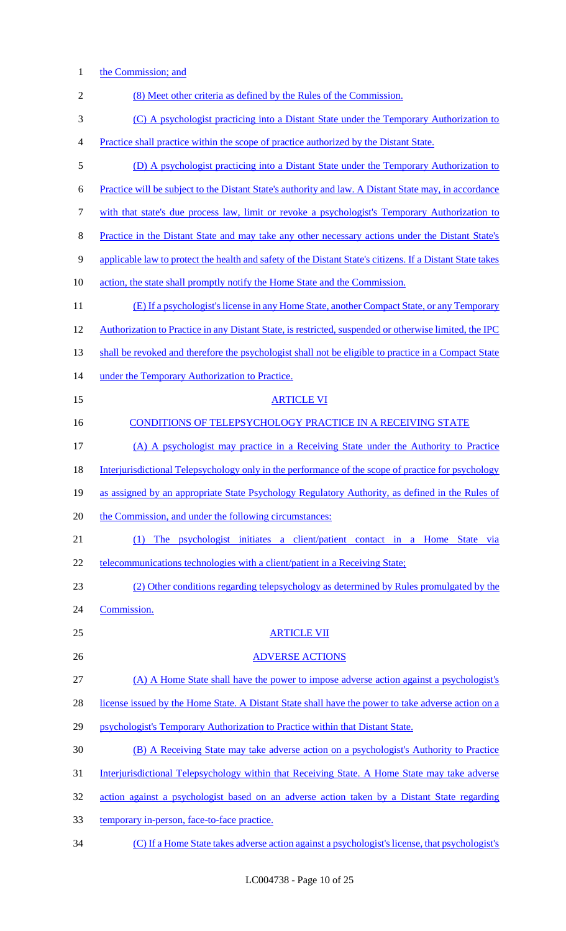1 the Commission; and

| $\overline{c}$ | (8) Meet other criteria as defined by the Rules of the Commission.                                        |
|----------------|-----------------------------------------------------------------------------------------------------------|
| 3              | (C) A psychologist practicing into a Distant State under the Temporary Authorization to                   |
| $\overline{4}$ | Practice shall practice within the scope of practice authorized by the Distant State.                     |
| 5              | (D) A psychologist practicing into a Distant State under the Temporary Authorization to                   |
| 6              | Practice will be subject to the Distant State's authority and law. A Distant State may, in accordance     |
| 7              | with that state's due process law, limit or revoke a psychologist's Temporary Authorization to            |
| 8              | <u>Practice in the Distant State and may take any other necessary actions under the Distant State's</u>   |
| 9              | applicable law to protect the health and safety of the Distant State's citizens. If a Distant State takes |
| 10             | action, the state shall promptly notify the Home State and the Commission.                                |
| 11             | (E) If a psychologist's license in any Home State, another Compact State, or any Temporary                |
| 12             | Authorization to Practice in any Distant State, is restricted, suspended or otherwise limited, the IPC    |
| 13             | shall be revoked and therefore the psychologist shall not be eligible to practice in a Compact State      |
| 14             | under the Temporary Authorization to Practice.                                                            |
| 15             | <b>ARTICLE VI</b>                                                                                         |
| 16             | <b>CONDITIONS OF TELEPSYCHOLOGY PRACTICE IN A RECEIVING STATE</b>                                         |
| 17             | (A) A psychologist may practice in a Receiving State under the Authority to Practice                      |
| 18             | Interjurisdictional Telepsychology only in the performance of the scope of practice for psychology        |
| 19             | as assigned by an appropriate State Psychology Regulatory Authority, as defined in the Rules of           |
| 20             | the Commission, and under the following circumstances:                                                    |
| 21             | The psychologist initiates a client/patient contact in a Home State via<br>(1)                            |
| 22             | telecommunications technologies with a client/patient in a Receiving State;                               |
| 23             | (2) Other conditions regarding telepsychology as determined by Rules promulgated by the                   |
| 24             | Commission.                                                                                               |
| 25             | <b>ARTICLE VII</b>                                                                                        |
| 26             | <b>ADVERSE ACTIONS</b>                                                                                    |
| 27             | (A) A Home State shall have the power to impose adverse action against a psychologist's                   |
| 28             | license issued by the Home State. A Distant State shall have the power to take adverse action on a        |
| 29             | psychologist's Temporary Authorization to Practice within that Distant State.                             |
| 30             | (B) A Receiving State may take adverse action on a psychologist's Authority to Practice                   |
| 31             | <u>Interjurisdictional Telepsychology within that Receiving State. A Home State may take adverse</u>      |
| 32             | action against a psychologist based on an adverse action taken by a Distant State regarding               |
| 33             | temporary in-person, face-to-face practice.                                                               |

34 (C) If a Home State takes adverse action against a psychologist's license, that psychologist's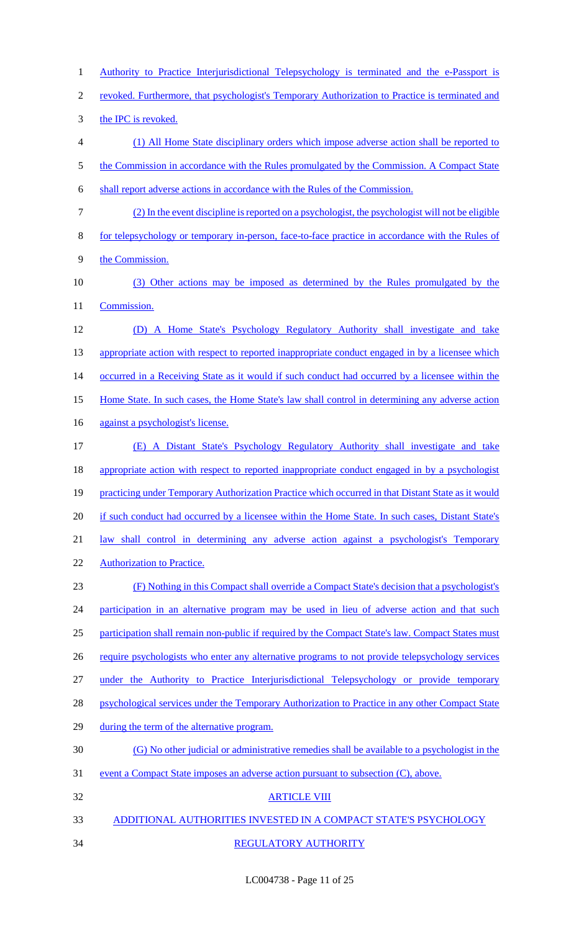1 Authority to Practice Interjurisdictional Telepsychology is terminated and the e-Passport is 2 revoked. Furthermore, that psychologist's Temporary Authorization to Practice is terminated and 3 the IPC is revoked. 4 (1) All Home State disciplinary orders which impose adverse action shall be reported to 5 the Commission in accordance with the Rules promulgated by the Commission. A Compact State 6 shall report adverse actions in accordance with the Rules of the Commission. 7 (2) In the event discipline is reported on a psychologist, the psychologist will not be eligible 8 for telepsychology or temporary in-person, face-to-face practice in accordance with the Rules of 9 the Commission. 10 (3) Other actions may be imposed as determined by the Rules promulgated by the 11 **Commission.** 12 (D) A Home State's Psychology Regulatory Authority shall investigate and take 13 appropriate action with respect to reported inappropriate conduct engaged in by a licensee which 14 occurred in a Receiving State as it would if such conduct had occurred by a licensee within the 15 Home State. In such cases, the Home State's law shall control in determining any adverse action 16 against a psychologist's license. 17 (E) A Distant State's Psychology Regulatory Authority shall investigate and take 18 appropriate action with respect to reported inappropriate conduct engaged in by a psychologist 19 practicing under Temporary Authorization Practice which occurred in that Distant State as it would 20 if such conduct had occurred by a licensee within the Home State. In such cases, Distant State's 21 law shall control in determining any adverse action against a psychologist's Temporary 22 Authorization to Practice. 23 (F) Nothing in this Compact shall override a Compact State's decision that a psychologist's 24 participation in an alternative program may be used in lieu of adverse action and that such 25 participation shall remain non-public if required by the Compact State's law. Compact States must 26 require psychologists who enter any alternative programs to not provide telepsychology services 27 under the Authority to Practice Interjurisdictional Telepsychology or provide temporary 28 psychological services under the Temporary Authorization to Practice in any other Compact State 29 during the term of the alternative program. 30 (G) No other judicial or administrative remedies shall be available to a psychologist in the 31 event a Compact State imposes an adverse action pursuant to subsection (C), above. 32 ARTICLE VIII 33 ADDITIONAL AUTHORITIES INVESTED IN A COMPACT STATE'S PSYCHOLOGY 34 REGULATORY AUTHORITY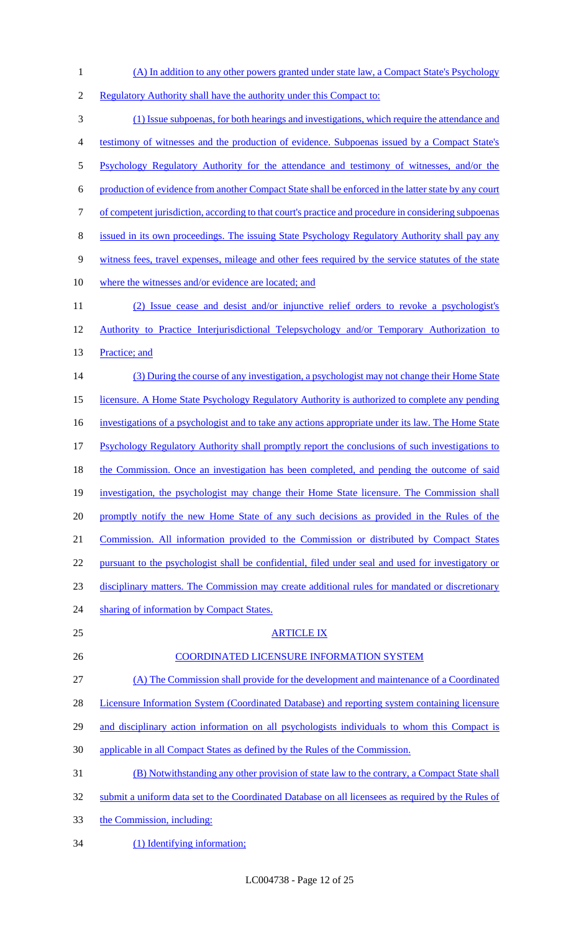(A) In addition to any other powers granted under state law, a Compact State's Psychology 2 Regulatory Authority shall have the authority under this Compact to: (1) Issue subpoenas, for both hearings and investigations, which require the attendance and testimony of witnesses and the production of evidence. Subpoenas issued by a Compact State's Psychology Regulatory Authority for the attendance and testimony of witnesses, and/or the production of evidence from another Compact State shall be enforced in the latter state by any court of competent jurisdiction, according to that court's practice and procedure in considering subpoenas issued in its own proceedings. The issuing State Psychology Regulatory Authority shall pay any witness fees, travel expenses, mileage and other fees required by the service statutes of the state 10 where the witnesses and/or evidence are located; and (2) Issue cease and desist and/or injunctive relief orders to revoke a psychologist's 12 Authority to Practice Interjurisdictional Telepsychology and/or Temporary Authorization to 13 Practice; and (3) During the course of any investigation, a psychologist may not change their Home State licensure. A Home State Psychology Regulatory Authority is authorized to complete any pending 16 investigations of a psychologist and to take any actions appropriate under its law. The Home State Psychology Regulatory Authority shall promptly report the conclusions of such investigations to 18 the Commission. Once an investigation has been completed, and pending the outcome of said investigation, the psychologist may change their Home State licensure. The Commission shall 20 promptly notify the new Home State of any such decisions as provided in the Rules of the Commission. All information provided to the Commission or distributed by Compact States 22 pursuant to the psychologist shall be confidential, filed under seal and used for investigatory or disciplinary matters. The Commission may create additional rules for mandated or discretionary 24 sharing of information by Compact States. ARTICLE IX COORDINATED LICENSURE INFORMATION SYSTEM (A) The Commission shall provide for the development and maintenance of a Coordinated 28 Licensure Information System (Coordinated Database) and reporting system containing licensure 29 and disciplinary action information on all psychologists individuals to whom this Compact is applicable in all Compact States as defined by the Rules of the Commission. (B) Notwithstanding any other provision of state law to the contrary, a Compact State shall 32 submit a uniform data set to the Coordinated Database on all licensees as required by the Rules of the Commission, including:

(1) Identifying information;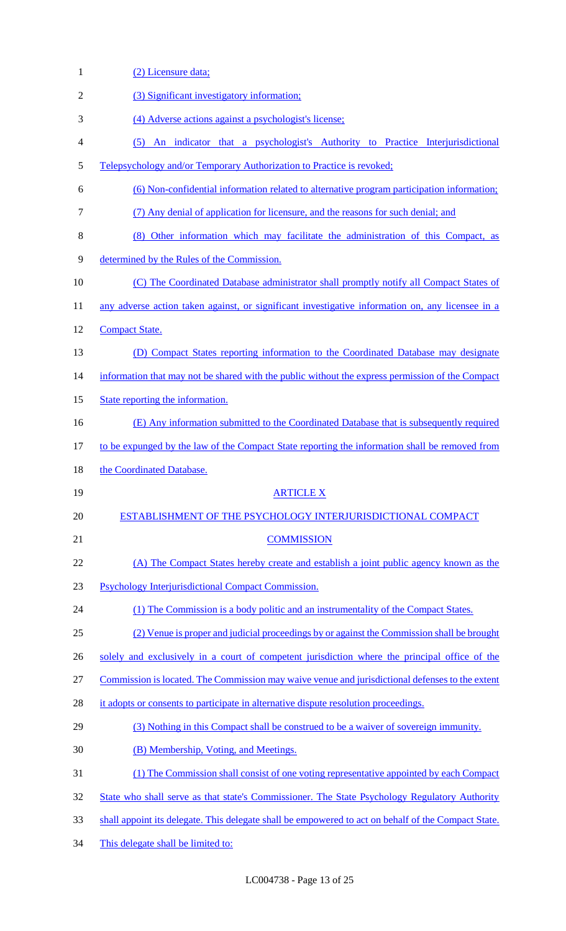| $\mathbf{1}$ | (2) Licensure data;                                                                                 |
|--------------|-----------------------------------------------------------------------------------------------------|
| 2            | (3) Significant investigatory information;                                                          |
| 3            | (4) Adverse actions against a psychologist's license;                                               |
| 4            | (5) An indicator that a psychologist's Authority to Practice Interjurisdictional                    |
| 5            | Telepsychology and/or Temporary Authorization to Practice is revoked;                               |
| 6            | (6) Non-confidential information related to alternative program participation information;          |
| 7            | (7) Any denial of application for licensure, and the reasons for such denial; and                   |
| 8            | (8) Other information which may facilitate the administration of this Compact, as                   |
| 9            | determined by the Rules of the Commission.                                                          |
| 10           | (C) The Coordinated Database administrator shall promptly notify all Compact States of              |
| 11           | any adverse action taken against, or significant investigative information on, any licensee in a    |
| 12           | <b>Compact State.</b>                                                                               |
| 13           | (D) Compact States reporting information to the Coordinated Database may designate                  |
| 14           | information that may not be shared with the public without the express permission of the Compact    |
| 15           | State reporting the information.                                                                    |
| 16           | (E) Any information submitted to the Coordinated Database that is subsequently required             |
| 17           | to be expunged by the law of the Compact State reporting the information shall be removed from      |
| 18           | the Coordinated Database.                                                                           |
| 19           | <b>ARTICLE X</b>                                                                                    |
| 20           | ESTABLISHMENT OF THE PSYCHOLOGY INTERJURISDICTIONAL COMPACT                                         |
| 21           | <b>COMMISSION</b>                                                                                   |
| 22           | (A) The Compact States hereby create and establish a joint public agency known as the               |
| 23           | Psychology Interjurisdictional Compact Commission.                                                  |
| 24           | (1) The Commission is a body politic and an instrumentality of the Compact States.                  |
| 25           | (2) Venue is proper and judicial proceedings by or against the Commission shall be brought          |
| 26           | solely and exclusively in a court of competent jurisdiction where the principal office of the       |
| 27           | Commission is located. The Commission may waive venue and jurisdictional defenses to the extent     |
| 28           | it adopts or consents to participate in alternative dispute resolution proceedings.                 |
| 29           | (3) Nothing in this Compact shall be construed to be a waiver of sovereign immunity.                |
| 30           | (B) Membership, Voting, and Meetings.                                                               |
| 31           | (1) The Commission shall consist of one voting representative appointed by each Compact             |
| 32           |                                                                                                     |
|              | State who shall serve as that state's Commissioner. The State Psychology Regulatory Authority       |
| 33           | shall appoint its delegate. This delegate shall be empowered to act on behalf of the Compact State. |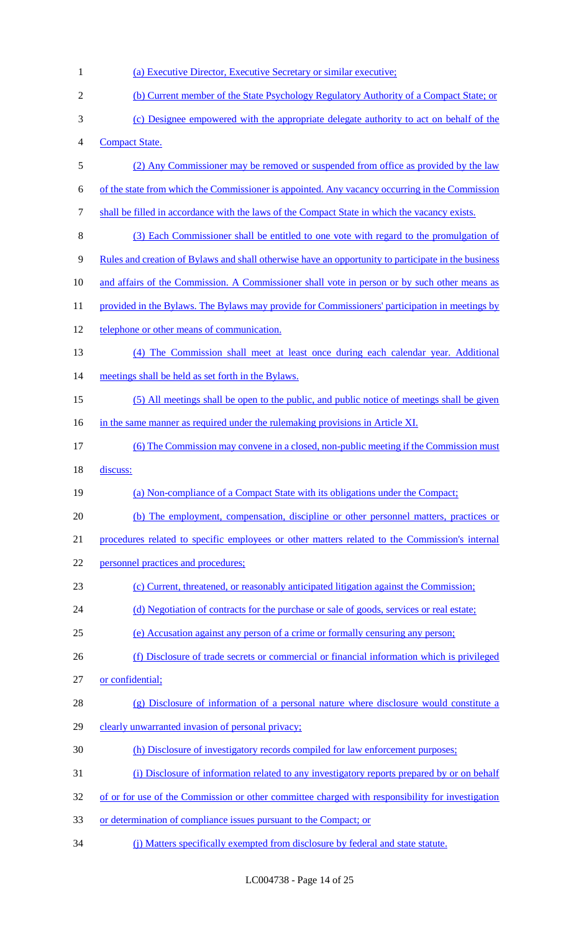| 1              | (a) Executive Director, Executive Secretary or similar executive;                                   |
|----------------|-----------------------------------------------------------------------------------------------------|
| $\overline{2}$ | (b) Current member of the State Psychology Regulatory Authority of a Compact State; or              |
| 3              | (c) Designee empowered with the appropriate delegate authority to act on behalf of the              |
| $\overline{4}$ | <b>Compact State.</b>                                                                               |
| 5              | (2) Any Commissioner may be removed or suspended from office as provided by the law                 |
| 6              | of the state from which the Commissioner is appointed. Any vacancy occurring in the Commission      |
| $\tau$         | shall be filled in accordance with the laws of the Compact State in which the vacancy exists.       |
| 8              | (3) Each Commissioner shall be entitled to one vote with regard to the promulgation of              |
| 9              | Rules and creation of Bylaws and shall otherwise have an opportunity to participate in the business |
| 10             | and affairs of the Commission. A Commissioner shall vote in person or by such other means as        |
| 11             | provided in the Bylaws. The Bylaws may provide for Commissioners' participation in meetings by      |
| 12             | telephone or other means of communication.                                                          |
| 13             | (4) The Commission shall meet at least once during each calendar year. Additional                   |
| 14             | meetings shall be held as set forth in the Bylaws.                                                  |
| 15             | (5) All meetings shall be open to the public, and public notice of meetings shall be given          |
| 16             | in the same manner as required under the rulemaking provisions in Article XI.                       |
| 17             | (6) The Commission may convene in a closed, non-public meeting if the Commission must               |
|                |                                                                                                     |
| 18             | discuss:                                                                                            |
| 19             | (a) Non-compliance of a Compact State with its obligations under the Compact;                       |
| 20             | (b) The employment, compensation, discipline or other personnel matters, practices or               |
| 21             | procedures related to specific employees or other matters related to the Commission's internal      |
| 22             | personnel practices and procedures;                                                                 |
| 23             | (c) Current, threatened, or reasonably anticipated litigation against the Commission;               |
| 24             | (d) Negotiation of contracts for the purchase or sale of goods, services or real estate;            |
| 25             | (e) Accusation against any person of a crime or formally censuring any person;                      |
| 26             | (f) Disclosure of trade secrets or commercial or financial information which is privileged          |
| 27             | or confidential;                                                                                    |
| 28             | (g) Disclosure of information of a personal nature where disclosure would constitute a              |
| 29             | clearly unwarranted invasion of personal privacy;                                                   |
| 30             | (h) Disclosure of investigatory records compiled for law enforcement purposes;                      |
| 31             | (i) Disclosure of information related to any investigatory reports prepared by or on behalf         |
| 32             | of or for use of the Commission or other committee charged with responsibility for investigation    |
| 33             | or determination of compliance issues pursuant to the Compact; or                                   |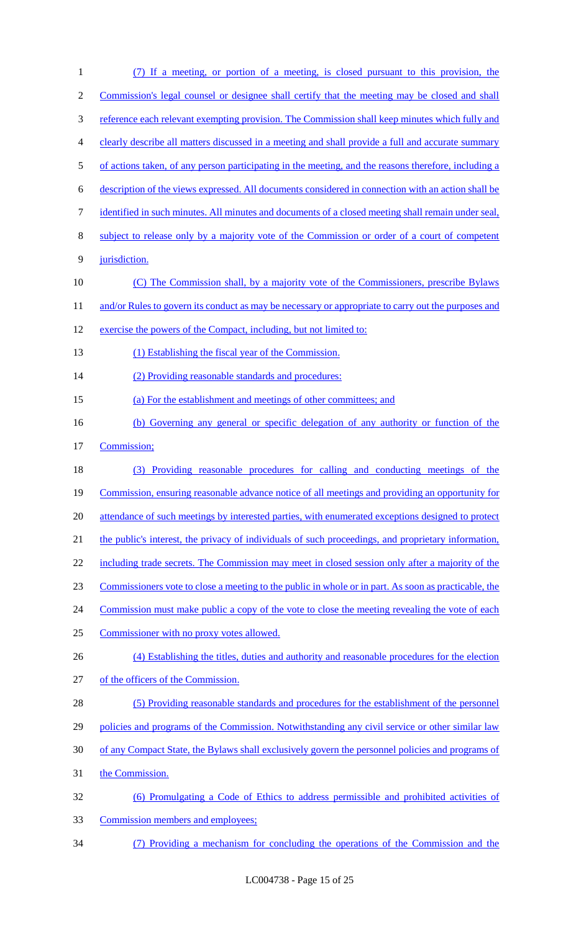| $\mathbf{1}$   | (7) If a meeting, or portion of a meeting, is closed pursuant to this provision, the                 |
|----------------|------------------------------------------------------------------------------------------------------|
| $\overline{c}$ | Commission's legal counsel or designee shall certify that the meeting may be closed and shall        |
| $\mathfrak{Z}$ | reference each relevant exempting provision. The Commission shall keep minutes which fully and       |
| 4              | clearly describe all matters discussed in a meeting and shall provide a full and accurate summary    |
| 5              | of actions taken, of any person participating in the meeting, and the reasons therefore, including a |
| 6              | description of the views expressed. All documents considered in connection with an action shall be   |
| 7              | identified in such minutes. All minutes and documents of a closed meeting shall remain under seal,   |
| $8\,$          | subject to release only by a majority vote of the Commission or order of a court of competent        |
| 9              | jurisdiction.                                                                                        |
| 10             | (C) The Commission shall, by a majority vote of the Commissioners, prescribe Bylaws                  |
| 11             | and/or Rules to govern its conduct as may be necessary or appropriate to carry out the purposes and  |
| 12             | exercise the powers of the Compact, including, but not limited to:                                   |
| 13             | (1) Establishing the fiscal year of the Commission.                                                  |
| 14             | (2) Providing reasonable standards and procedures:                                                   |
| 15             | (a) For the establishment and meetings of other committees; and                                      |
| 16             | (b) Governing any general or specific delegation of any authority or function of the                 |
| 17             | Commission;                                                                                          |
| 18             | (3) Providing reasonable procedures for calling and conducting meetings of the                       |
| 19             | Commission, ensuring reasonable advance notice of all meetings and providing an opportunity for      |
| 20             | attendance of such meetings by interested parties, with enumerated exceptions designed to protect    |
| 21             | the public's interest, the privacy of individuals of such proceedings, and proprietary information,  |
| 22             | including trade secrets. The Commission may meet in closed session only after a majority of the      |
| 23             | Commissioners vote to close a meeting to the public in whole or in part. As soon as practicable, the |
| 24             | Commission must make public a copy of the vote to close the meeting revealing the vote of each       |
| 25             | Commissioner with no proxy votes allowed.                                                            |
| 26             | (4) Establishing the titles, duties and authority and reasonable procedures for the election         |
| 27             | of the officers of the Commission.                                                                   |
| 28             | (5) Providing reasonable standards and procedures for the establishment of the personnel             |
| 29             | policies and programs of the Commission. Notwithstanding any civil service or other similar law      |
| 30             | of any Compact State, the Bylaws shall exclusively govern the personnel policies and programs of     |
| 31             | the Commission.                                                                                      |
| 32             | (6) Promulgating a Code of Ethics to address permissible and prohibited activities of                |
| 33             | Commission members and employees;                                                                    |
| 34             | (7) Providing a mechanism for concluding the operations of the Commission and the                    |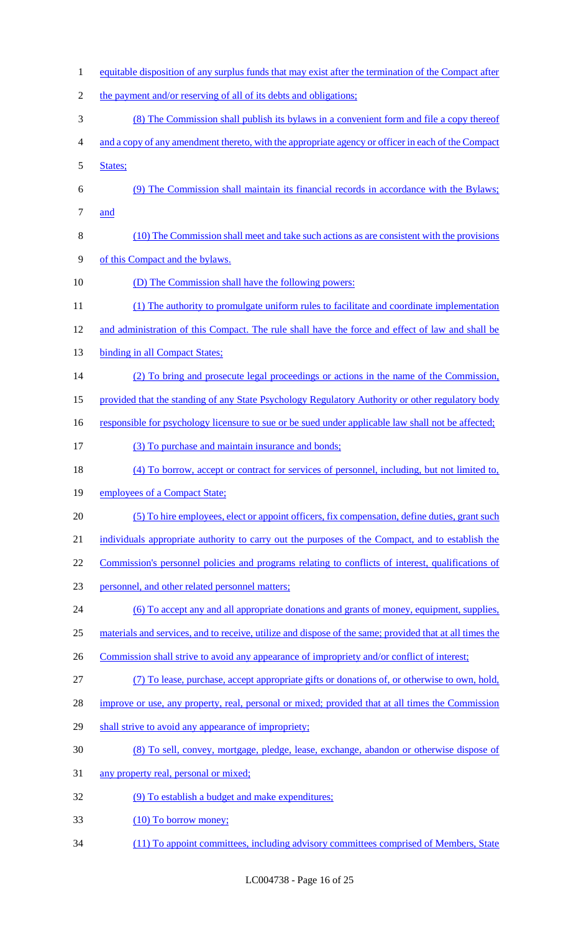1 equitable disposition of any surplus funds that may exist after the termination of the Compact after 2 the payment and/or reserving of all of its debts and obligations; (8) The Commission shall publish its bylaws in a convenient form and file a copy thereof and a copy of any amendment thereto, with the appropriate agency or officer in each of the Compact States; (9) The Commission shall maintain its financial records in accordance with the Bylaws; and (10) The Commission shall meet and take such actions as are consistent with the provisions of this Compact and the bylaws. 10 (D) The Commission shall have the following powers: (1) The authority to promulgate uniform rules to facilitate and coordinate implementation and administration of this Compact. The rule shall have the force and effect of law and shall be 13 binding in all Compact States; (2) To bring and prosecute legal proceedings or actions in the name of the Commission, provided that the standing of any State Psychology Regulatory Authority or other regulatory body 16 responsible for psychology licensure to sue or be sued under applicable law shall not be affected; (3) To purchase and maintain insurance and bonds; 18 (4) To borrow, accept or contract for services of personnel, including, but not limited to, 19 employees of a Compact State; (5) To hire employees, elect or appoint officers, fix compensation, define duties, grant such individuals appropriate authority to carry out the purposes of the Compact, and to establish the 22 Commission's personnel policies and programs relating to conflicts of interest, qualifications of personnel, and other related personnel matters; (6) To accept any and all appropriate donations and grants of money, equipment, supplies, materials and services, and to receive, utilize and dispose of the same; provided that at all times the 26 Commission shall strive to avoid any appearance of impropriety and/or conflict of interest; (7) To lease, purchase, accept appropriate gifts or donations of, or otherwise to own, hold, 28 improve or use, any property, real, personal or mixed; provided that at all times the Commission 29 shall strive to avoid any appearance of impropriety; (8) To sell, convey, mortgage, pledge, lease, exchange, abandon or otherwise dispose of any property real, personal or mixed; (9) To establish a budget and make expenditures; 33 (10) To borrow money; (11) To appoint committees, including advisory committees comprised of Members, State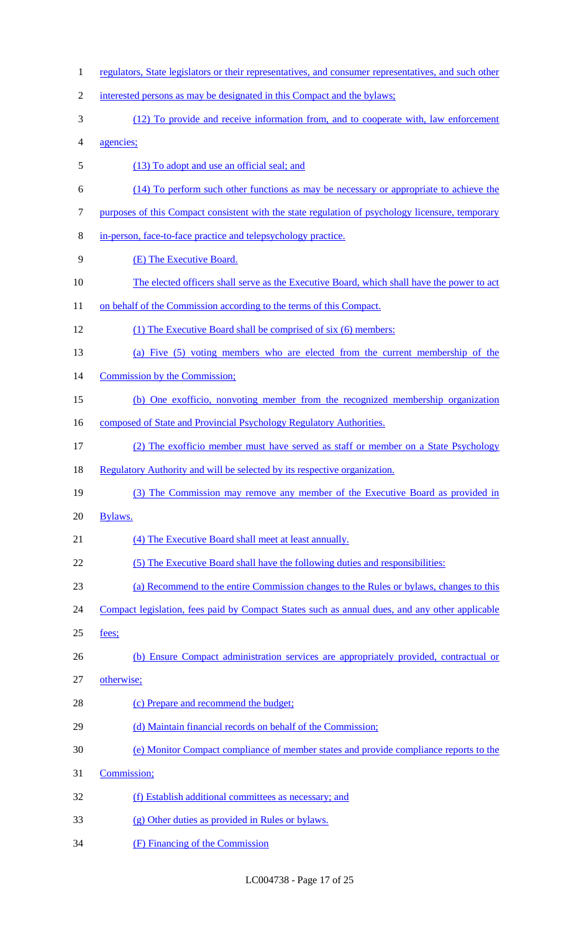1 regulators, State legislators or their representatives, and consumer representatives, and such other 2 interested persons as may be designated in this Compact and the bylaws; (12) To provide and receive information from, and to cooperate with, law enforcement agencies; (13) To adopt and use an official seal; and (14) To perform such other functions as may be necessary or appropriate to achieve the purposes of this Compact consistent with the state regulation of psychology licensure, temporary in-person, face-to-face practice and telepsychology practice. (E) The Executive Board. 10 The elected officers shall serve as the Executive Board, which shall have the power to act 11 on behalf of the Commission according to the terms of this Compact. (1) The Executive Board shall be comprised of six (6) members: (a) Five (5) voting members who are elected from the current membership of the Commission by the Commission; (b) One exofficio, nonvoting member from the recognized membership organization 16 composed of State and Provincial Psychology Regulatory Authorities. (2) The exofficio member must have served as staff or member on a State Psychology 18 Regulatory Authority and will be selected by its respective organization. (3) The Commission may remove any member of the Executive Board as provided in Bylaws. (4) The Executive Board shall meet at least annually. (5) The Executive Board shall have the following duties and responsibilities: (a) Recommend to the entire Commission changes to the Rules or bylaws, changes to this 24 Compact legislation, fees paid by Compact States such as annual dues, and any other applicable fees; 26 (b) Ensure Compact administration services are appropriately provided, contractual or otherwise; 28 (c) Prepare and recommend the budget; 29 (d) Maintain financial records on behalf of the Commission; (e) Monitor Compact compliance of member states and provide compliance reports to the Commission; (f) Establish additional committees as necessary; and (g) Other duties as provided in Rules or bylaws. (F) Financing of the Commission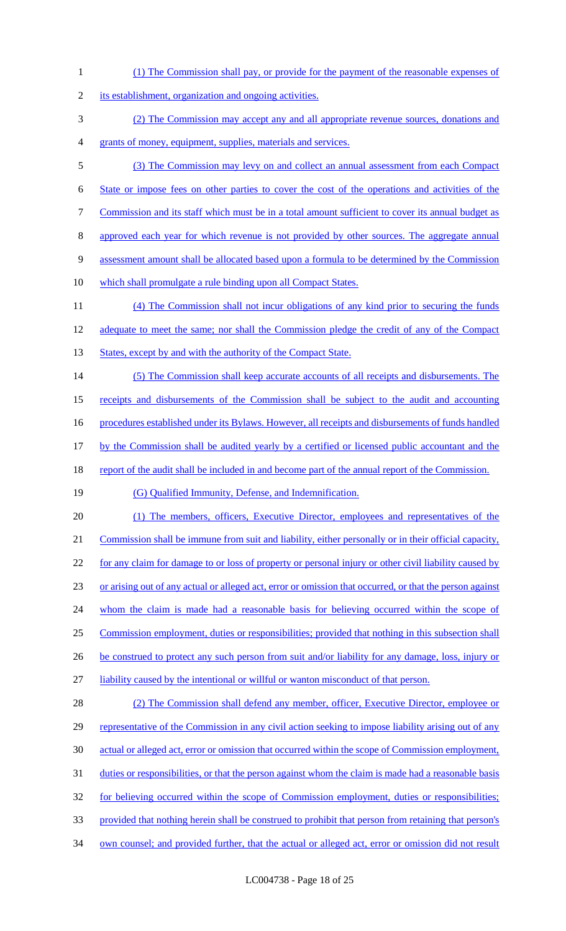1 (1) The Commission shall pay, or provide for the payment of the reasonable expenses of 2 its establishment, organization and ongoing activities. 3 (2) The Commission may accept any and all appropriate revenue sources, donations and 4 grants of money, equipment, supplies, materials and services. 5 (3) The Commission may levy on and collect an annual assessment from each Compact 6 State or impose fees on other parties to cover the cost of the operations and activities of the 7 Commission and its staff which must be in a total amount sufficient to cover its annual budget as 8 approved each year for which revenue is not provided by other sources. The aggregate annual 9 assessment amount shall be allocated based upon a formula to be determined by the Commission 10 which shall promulgate a rule binding upon all Compact States. 11 (4) The Commission shall not incur obligations of any kind prior to securing the funds 12 adequate to meet the same; nor shall the Commission pledge the credit of any of the Compact 13 States, except by and with the authority of the Compact State. 14 (5) The Commission shall keep accurate accounts of all receipts and disbursements. The 15 receipts and disbursements of the Commission shall be subject to the audit and accounting 16 procedures established under its Bylaws. However, all receipts and disbursements of funds handled 17 by the Commission shall be audited yearly by a certified or licensed public accountant and the 18 report of the audit shall be included in and become part of the annual report of the Commission. 19 (G) Qualified Immunity, Defense, and Indemnification. 20 (1) The members, officers, Executive Director, employees and representatives of the 21 Commission shall be immune from suit and liability, either personally or in their official capacity, 22 for any claim for damage to or loss of property or personal injury or other civil liability caused by 23 or arising out of any actual or alleged act, error or omission that occurred, or that the person against 24 whom the claim is made had a reasonable basis for believing occurred within the scope of 25 Commission employment, duties or responsibilities; provided that nothing in this subsection shall 26 be construed to protect any such person from suit and/or liability for any damage, loss, injury or 27 liability caused by the intentional or willful or wanton misconduct of that person. 28 (2) The Commission shall defend any member, officer, Executive Director, employee or 29 representative of the Commission in any civil action seeking to impose liability arising out of any 30 actual or alleged act, error or omission that occurred within the scope of Commission employment, 31 duties or responsibilities, or that the person against whom the claim is made had a reasonable basis 32 for believing occurred within the scope of Commission employment, duties or responsibilities; 33 provided that nothing herein shall be construed to prohibit that person from retaining that person's 34 own counsel; and provided further, that the actual or alleged act, error or omission did not result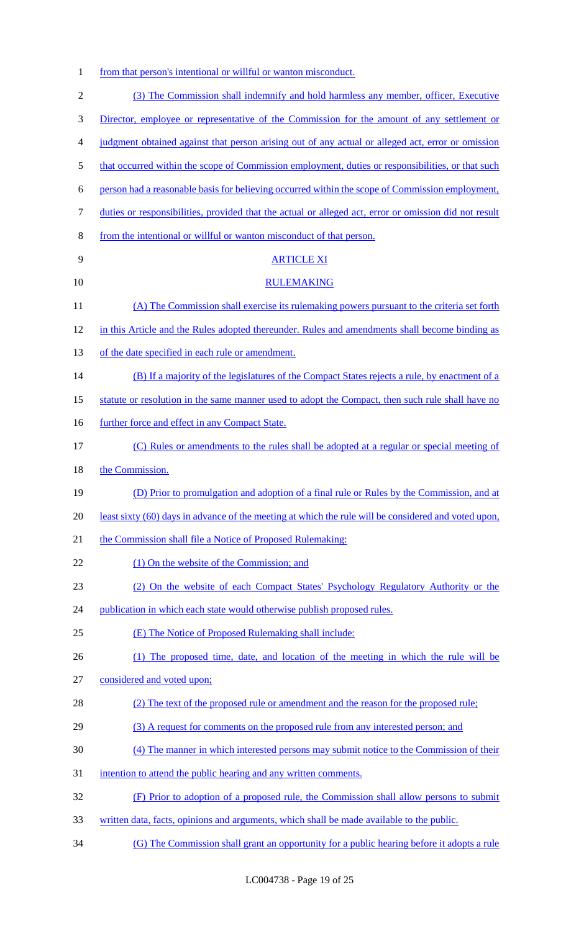1 from that person's intentional or willful or wanton misconduct.

| $\mathfrak{2}$ | (3) The Commission shall indemnify and hold harmless any member, officer, Executive                   |
|----------------|-------------------------------------------------------------------------------------------------------|
| 3              | Director, employee or representative of the Commission for the amount of any settlement or            |
| 4              | judgment obtained against that person arising out of any actual or alleged act, error or omission     |
| 5              | that occurred within the scope of Commission employment, duties or responsibilities, or that such     |
|                |                                                                                                       |
| 6              | person had a reasonable basis for believing occurred within the scope of Commission employment,       |
| 7              | duties or responsibilities, provided that the actual or alleged act, error or omission did not result |
| 8              | from the intentional or willful or wanton misconduct of that person.                                  |
| 9              | <b>ARTICLE XI</b>                                                                                     |
| 10             | <b>RULEMAKING</b>                                                                                     |
| 11             | (A) The Commission shall exercise its rulemaking powers pursuant to the criteria set forth            |
| 12             | in this Article and the Rules adopted thereunder. Rules and amendments shall become binding as        |
| 13             | of the date specified in each rule or amendment.                                                      |
| 14             | (B) If a majority of the legislatures of the Compact States rejects a rule, by enactment of a         |
| 15             | statute or resolution in the same manner used to adopt the Compact, then such rule shall have no      |
| 16             | further force and effect in any Compact State.                                                        |
| 17             | (C) Rules or amendments to the rules shall be adopted at a regular or special meeting of              |
| 18             | the Commission.                                                                                       |
| 19             | (D) Prior to promulgation and adoption of a final rule or Rules by the Commission, and at             |
| 20             | least sixty (60) days in advance of the meeting at which the rule will be considered and voted upon,  |
| 21             | the Commission shall file a Notice of Proposed Rulemaking:                                            |
| 22             | (1) On the website of the Commission; and                                                             |
| 23             | (2) On the website of each Compact States' Psychology Regulatory Authority or the                     |
| 24             | publication in which each state would otherwise publish proposed rules.                               |
| 25             | (E) The Notice of Proposed Rulemaking shall include:                                                  |
| 26             | (1) The proposed time, date, and location of the meeting in which the rule will be                    |
| 27             | considered and voted upon;                                                                            |
| 28             | (2) The text of the proposed rule or amendment and the reason for the proposed rule;                  |
| 29             | (3) A request for comments on the proposed rule from any interested person; and                       |
| 30             | (4) The manner in which interested persons may submit notice to the Commission of their               |
| 31             | intention to attend the public hearing and any written comments.                                      |
| 32             | (F) Prior to adoption of a proposed rule, the Commission shall allow persons to submit                |
| 33             | written data, facts, opinions and arguments, which shall be made available to the public.             |
| 34             | (G) The Commission shall grant an opportunity for a public hearing before it adopts a rule            |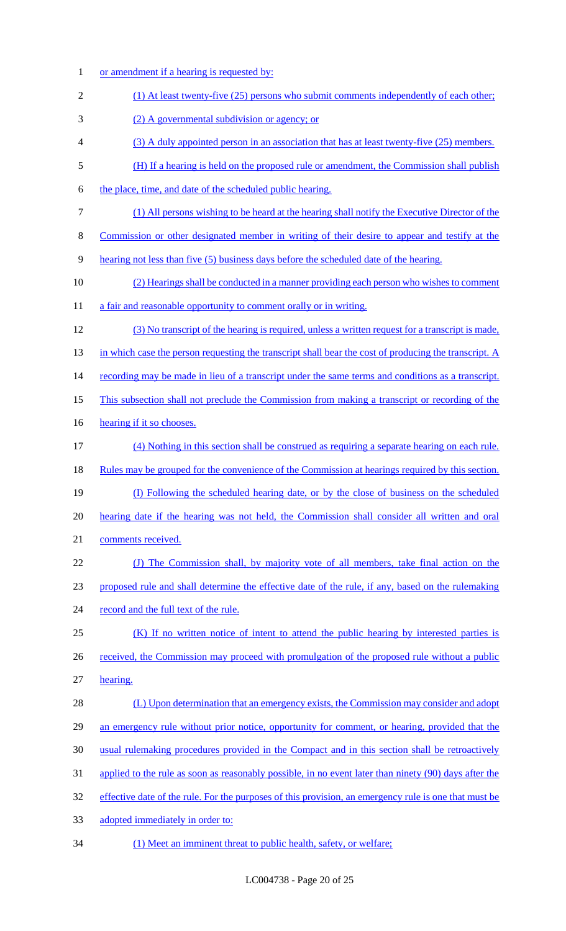1 or amendment if a hearing is requested by: (1) At least twenty-five (25) persons who submit comments independently of each other; (2) A governmental subdivision or agency; or (3) A duly appointed person in an association that has at least twenty-five (25) members. (H) If a hearing is held on the proposed rule or amendment, the Commission shall publish 6 the place, time, and date of the scheduled public hearing. (1) All persons wishing to be heard at the hearing shall notify the Executive Director of the Commission or other designated member in writing of their desire to appear and testify at the hearing not less than five (5) business days before the scheduled date of the hearing. (2) Hearings shall be conducted in a manner providing each person who wishes to comment 11 a fair and reasonable opportunity to comment orally or in writing. (3) No transcript of the hearing is required, unless a written request for a transcript is made, 13 in which case the person requesting the transcript shall bear the cost of producing the transcript. A 14 recording may be made in lieu of a transcript under the same terms and conditions as a transcript. This subsection shall not preclude the Commission from making a transcript or recording of the 16 hearing if it so chooses. (4) Nothing in this section shall be construed as requiring a separate hearing on each rule. 18 Rules may be grouped for the convenience of the Commission at hearings required by this section. (I) Following the scheduled hearing date, or by the close of business on the scheduled hearing date if the hearing was not held, the Commission shall consider all written and oral comments received. (J) The Commission shall, by majority vote of all members, take final action on the proposed rule and shall determine the effective date of the rule, if any, based on the rulemaking 24 record and the full text of the rule. (K) If no written notice of intent to attend the public hearing by interested parties is 26 received, the Commission may proceed with promulgation of the proposed rule without a public hearing. 28 (L) Upon determination that an emergency exists, the Commission may consider and adopt 29 an emergency rule without prior notice, opportunity for comment, or hearing, provided that the usual rulemaking procedures provided in the Compact and in this section shall be retroactively applied to the rule as soon as reasonably possible, in no event later than ninety (90) days after the 32 effective date of the rule. For the purposes of this provision, an emergency rule is one that must be adopted immediately in order to: (1) Meet an imminent threat to public health, safety, or welfare;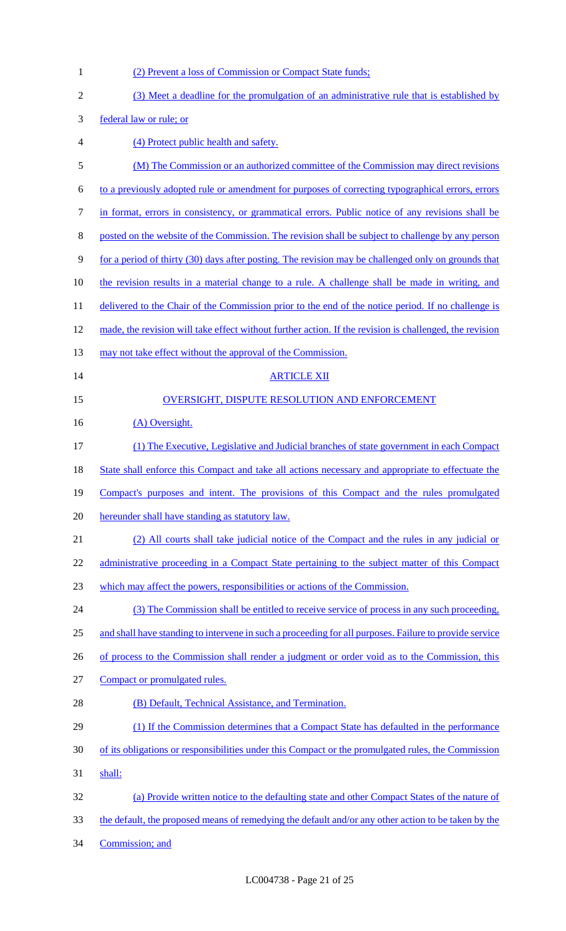| $\mathbf{1}$   | (2) Prevent a loss of Commission or Compact State funds;                                                |
|----------------|---------------------------------------------------------------------------------------------------------|
| $\sqrt{2}$     | (3) Meet a deadline for the promulgation of an administrative rule that is established by               |
| 3              | federal law or rule; or                                                                                 |
| $\overline{4}$ | (4) Protect public health and safety.                                                                   |
| 5              | (M) The Commission or an authorized committee of the Commission may direct revisions                    |
| 6              | to a previously adopted rule or amendment for purposes of correcting typographical errors, errors       |
| $\tau$         | in format, errors in consistency, or grammatical errors. Public notice of any revisions shall be        |
| $8\,$          | posted on the website of the Commission. The revision shall be subject to challenge by any person       |
| 9              | for a period of thirty (30) days after posting. The revision may be challenged only on grounds that     |
| 10             | the revision results in a material change to a rule. A challenge shall be made in writing, and          |
| 11             | delivered to the Chair of the Commission prior to the end of the notice period. If no challenge is      |
| 12             | made, the revision will take effect without further action. If the revision is challenged, the revision |
| 13             | may not take effect without the approval of the Commission.                                             |
| 14             | <b>ARTICLE XII</b>                                                                                      |
| 15             | <b>OVERSIGHT, DISPUTE RESOLUTION AND ENFORCEMENT</b>                                                    |
| 16             | (A) Oversight.                                                                                          |
| 17             | (1) The Executive, Legislative and Judicial branches of state government in each Compact                |
| 18             | State shall enforce this Compact and take all actions necessary and appropriate to effectuate the       |
| 19             | Compact's purposes and intent. The provisions of this Compact and the rules promulgated                 |
| 20             | hereunder shall have standing as statutory law.                                                         |
| 21             | (2) All courts shall take judicial notice of the Compact and the rules in any judicial or               |
| 22             | administrative proceeding in a Compact State pertaining to the subject matter of this Compact           |
| 23             | which may affect the powers, responsibilities or actions of the Commission.                             |
| 24             | (3) The Commission shall be entitled to receive service of process in any such proceeding,              |
| 25             | and shall have standing to intervene in such a proceeding for all purposes. Failure to provide service  |
| 26             | of process to the Commission shall render a judgment or order void as to the Commission, this           |
| 27             | Compact or promulgated rules.                                                                           |
| 28             | (B) Default, Technical Assistance, and Termination.                                                     |
| 29             | (1) If the Commission determines that a Compact State has defaulted in the performance                  |
| 30             | of its obligations or responsibilities under this Compact or the promulgated rules, the Commission      |
| 31             | shall:                                                                                                  |
| 32             | (a) Provide written notice to the defaulting state and other Compact States of the nature of            |
| 33             | the default, the proposed means of remedying the default and/or any other action to be taken by the     |
| 34             | Commission; and                                                                                         |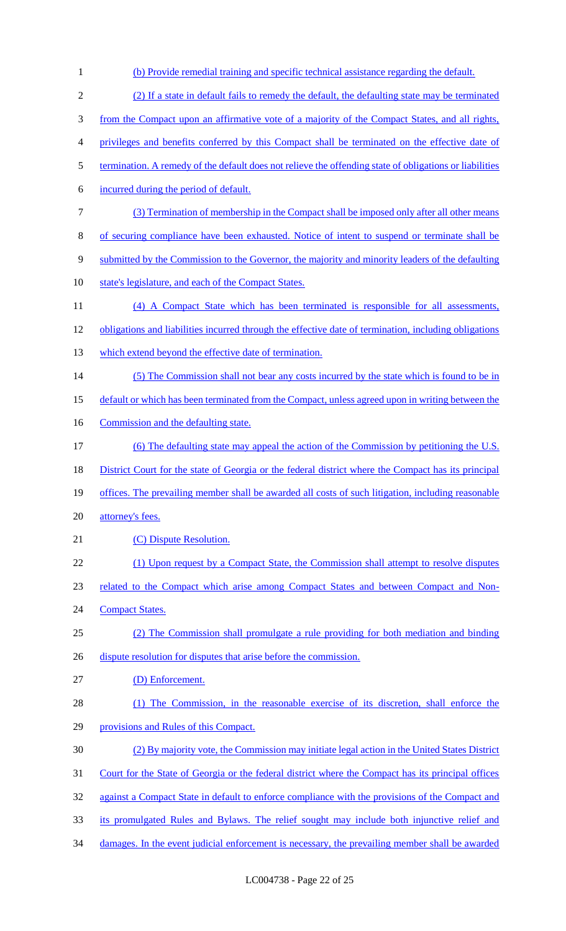(b) Provide remedial training and specific technical assistance regarding the default. (2) If a state in default fails to remedy the default, the defaulting state may be terminated from the Compact upon an affirmative vote of a majority of the Compact States, and all rights, privileges and benefits conferred by this Compact shall be terminated on the effective date of termination. A remedy of the default does not relieve the offending state of obligations or liabilities incurred during the period of default. (3) Termination of membership in the Compact shall be imposed only after all other means of securing compliance have been exhausted. Notice of intent to suspend or terminate shall be submitted by the Commission to the Governor, the majority and minority leaders of the defaulting 10 state's legislature, and each of the Compact States. (4) A Compact State which has been terminated is responsible for all assessments, obligations and liabilities incurred through the effective date of termination, including obligations which extend beyond the effective date of termination. 14 (5) The Commission shall not bear any costs incurred by the state which is found to be in default or which has been terminated from the Compact, unless agreed upon in writing between the 16 Commission and the defaulting state. (6) The defaulting state may appeal the action of the Commission by petitioning the U.S. 18 District Court for the state of Georgia or the federal district where the Compact has its principal offices. The prevailing member shall be awarded all costs of such litigation, including reasonable 20 attorney's fees. 21 (C) Dispute Resolution. 22 (1) Upon request by a Compact State, the Commission shall attempt to resolve disputes related to the Compact which arise among Compact States and between Compact and Non-24 Compact States. (2) The Commission shall promulgate a rule providing for both mediation and binding 26 dispute resolution for disputes that arise before the commission. (D) Enforcement. (1) The Commission, in the reasonable exercise of its discretion, shall enforce the provisions and Rules of this Compact. (2) By majority vote, the Commission may initiate legal action in the United States District Court for the State of Georgia or the federal district where the Compact has its principal offices 32 against a Compact State in default to enforce compliance with the provisions of the Compact and its promulgated Rules and Bylaws. The relief sought may include both injunctive relief and 34 damages. In the event judicial enforcement is necessary, the prevailing member shall be awarded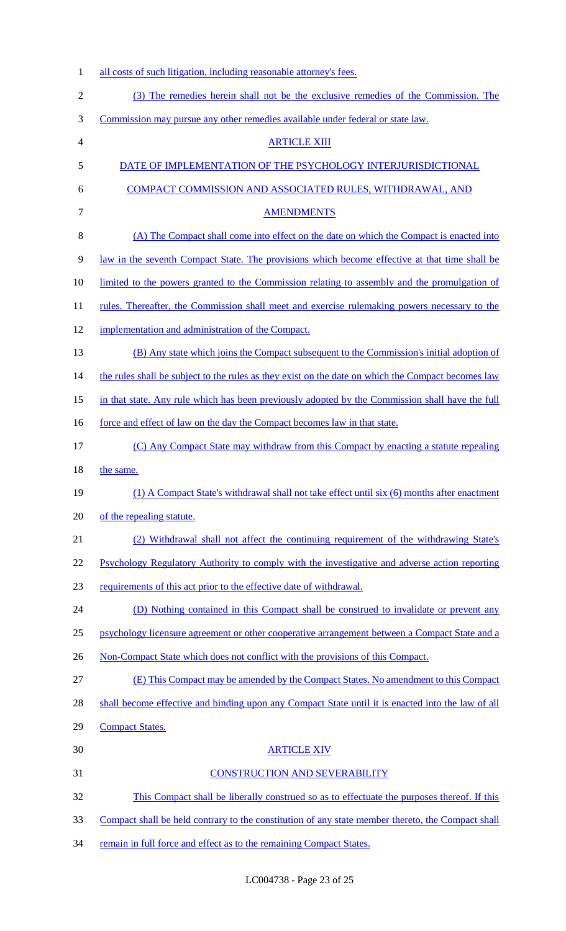| $\mathbf{1}$   | all costs of such litigation, including reasonable attorney's fees.                                |
|----------------|----------------------------------------------------------------------------------------------------|
| $\overline{2}$ | (3) The remedies herein shall not be the exclusive remedies of the Commission. The                 |
| 3              | Commission may pursue any other remedies available under federal or state law.                     |
| 4              | <b>ARTICLE XIII</b>                                                                                |
| 5              | DATE OF IMPLEMENTATION OF THE PSYCHOLOGY INTERJURISDICTIONAL                                       |
| 6              | COMPACT COMMISSION AND ASSOCIATED RULES, WITHDRAWAL, AND                                           |
| $\tau$         | <b>AMENDMENTS</b>                                                                                  |
| $8\,$          | (A) The Compact shall come into effect on the date on which the Compact is enacted into            |
| 9              | law in the seventh Compact State. The provisions which become effective at that time shall be      |
| 10             | limited to the powers granted to the Commission relating to assembly and the promulgation of       |
| 11             | rules. Thereafter, the Commission shall meet and exercise rulemaking powers necessary to the       |
| 12             | implementation and administration of the Compact.                                                  |
| 13             | (B) Any state which joins the Compact subsequent to the Commission's initial adoption of           |
| 14             | the rules shall be subject to the rules as they exist on the date on which the Compact becomes law |
| 15             | in that state. Any rule which has been previously adopted by the Commission shall have the full    |
| 16             | force and effect of law on the day the Compact becomes law in that state.                          |
| 17             | (C) Any Compact State may withdraw from this Compact by enacting a statute repealing               |
| 18             | the same.                                                                                          |
| 19             | (1) A Compact State's withdrawal shall not take effect until six (6) months after enactment        |
| 20             | of the repealing statute.                                                                          |
| 21             | (2) Withdrawal shall not affect the continuing requirement of the withdrawing State's              |
| 22             | Psychology Regulatory Authority to comply with the investigative and adverse action reporting      |
| 23             | requirements of this act prior to the effective date of withdrawal.                                |
| 24             | (D) Nothing contained in this Compact shall be construed to invalidate or prevent any              |
| 25             | psychology licensure agreement or other cooperative arrangement between a Compact State and a      |
| 26             | Non-Compact State which does not conflict with the provisions of this Compact.                     |
| 27             | (E) This Compact may be amended by the Compact States. No amendment to this Compact                |
| 28             | shall become effective and binding upon any Compact State until it is enacted into the law of all  |
| 29             | <b>Compact States.</b>                                                                             |
| 30             | <b>ARTICLE XIV</b>                                                                                 |
| 31             | <b>CONSTRUCTION AND SEVERABILITY</b>                                                               |
| 32             | This Compact shall be liberally construed so as to effectuate the purposes thereof. If this        |
| 33             | Compact shall be held contrary to the constitution of any state member thereto, the Compact shall  |
| 34             | remain in full force and effect as to the remaining Compact States.                                |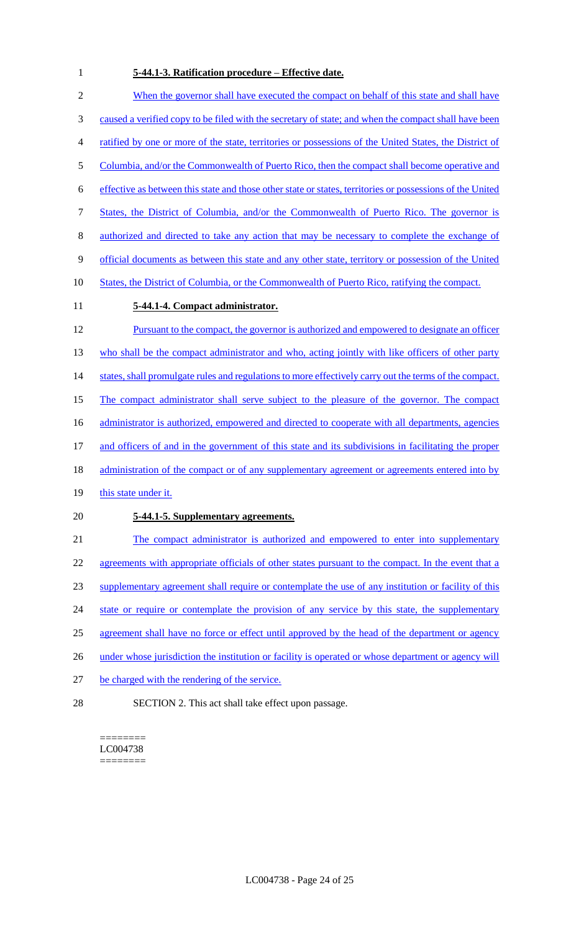## **5-44.1-3. Ratification procedure – Effective date.**

|                  | <u>1 111 St Ruthleution procedure</u><br><b>LITERIAL AREA</b>                                             |
|------------------|-----------------------------------------------------------------------------------------------------------|
| $\mathbf{2}$     | When the governor shall have executed the compact on behalf of this state and shall have                  |
| $\mathfrak{Z}$   | caused a verified copy to be filed with the secretary of state; and when the compact shall have been      |
| 4                | ratified by one or more of the state, territories or possessions of the United States, the District of    |
| 5                | Columbia, and/or the Commonwealth of Puerto Rico, then the compact shall become operative and             |
| 6                | effective as between this state and those other state or states, territories or possessions of the United |
| $\boldsymbol{7}$ | <u>States, the District of Columbia, and/or the Commonwealth of Puerto Rico. The governor is</u>          |
| $8\,$            | authorized and directed to take any action that may be necessary to complete the exchange of              |
| $\mathbf{9}$     | official documents as between this state and any other state, territory or possession of the United       |
| 10               | States, the District of Columbia, or the Commonwealth of Puerto Rico, ratifying the compact.              |
| 11               | 5-44.1-4. Compact administrator.                                                                          |
| 12               | Pursuant to the compact, the governor is authorized and empowered to designate an officer                 |
| 13               | who shall be the compact administrator and who, acting jointly with like officers of other party          |
| 14               | states, shall promulgate rules and regulations to more effectively carry out the terms of the compact.    |
| 15               | The compact administrator shall serve subject to the pleasure of the governor. The compact                |
| 16               | administrator is authorized, empowered and directed to cooperate with all departments, agencies           |
| 17               | and officers of and in the government of this state and its subdivisions in facilitating the proper       |
| 18               | administration of the compact or of any supplementary agreement or agreements entered into by             |
| 19               | this state under it.                                                                                      |
| 20               | 5-44.1-5. Supplementary agreements.                                                                       |
| 21               | The compact administrator is authorized and empowered to enter into supplementary                         |
| 22               | agreements with appropriate officials of other states pursuant to the compact. In the event that a        |
| 23               | supplementary agreement shall require or contemplate the use of any institution or facility of this       |
| 24               | state or require or contemplate the provision of any service by this state, the supplementary             |
| 25               | agreement shall have no force or effect until approved by the head of the department or agency            |
| 26               | under whose jurisdiction the institution or facility is operated or whose department or agency will       |
| 27               | be charged with the rendering of the service.                                                             |

SECTION 2. This act shall take effect upon passage.

======== LC004738 ========